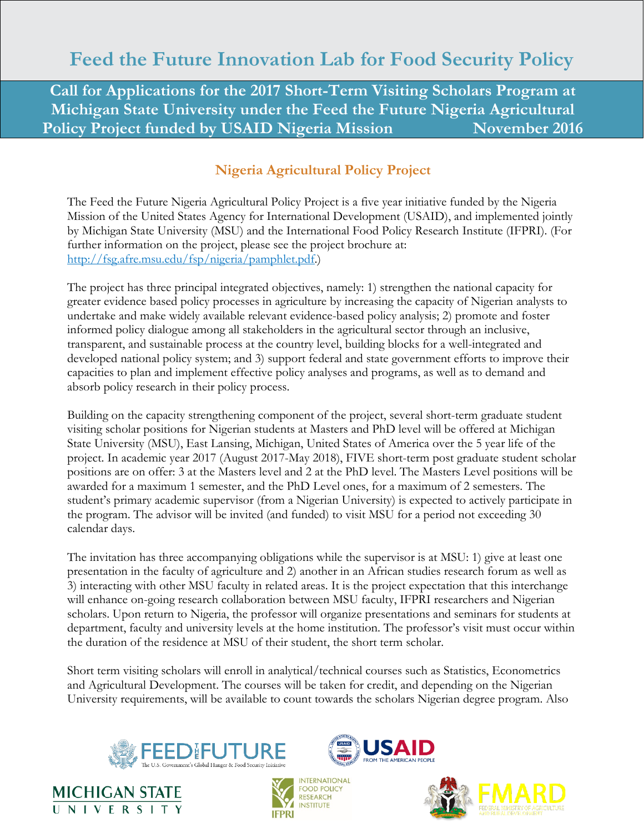# **Feed the Future Innovation Lab for Food Security Policy**

**Call for Applications for the 2017 Short-Term Visiting Scholars Program at Michigan State University under the Feed the Future Nigeria Agricultural Policy Project funded by USAID Nigeria Mission November 2016** 

## **Nigeria Agricultural Policy Project**

The Feed the Future Nigeria Agricultural Policy Project is a five year initiative funded by the Nigeria Mission of the United States Agency for International Development (USAID), and implemented jointly by Michigan State University (MSU) and the International Food Policy Research Institute (IFPRI). (For further information on the project, please see the project brochure at: [http://fsg.afre.msu.edu/fsp/nigeria/pamphlet.pdf.](http://fsg.afre.msu.edu/fsp/nigeria/pamphlet.pdf))

The project has three principal integrated objectives, namely: 1) strengthen the national capacity for greater evidence based policy processes in agriculture by increasing the capacity of Nigerian analysts to undertake and make widely available relevant evidence-based policy analysis; 2) promote and foster informed policy dialogue among all stakeholders in the agricultural sector through an inclusive, transparent, and sustainable process at the country level, building blocks for a well-integrated and developed national policy system; and 3) support federal and state government efforts to improve their capacities to plan and implement effective policy analyses and programs, as well as to demand and absorb policy research in their policy process.

Building on the capacity strengthening component of the project, several short-term graduate student visiting scholar positions for Nigerian students at Masters and PhD level will be offered at Michigan State University (MSU), East Lansing, Michigan, United States of America over the 5 year life of the project. In academic year 2017 (August 2017-May 2018), FIVE short-term post graduate student scholar positions are on offer: 3 at the Masters level and 2 at the PhD level. The Masters Level positions will be awarded for a maximum 1 semester, and the PhD Level ones, for a maximum of 2 semesters. The student's primary academic supervisor (from a Nigerian University) is expected to actively participate in the program. The advisor will be invited (and funded) to visit MSU for a period not exceeding 30 calendar days.

The invitation has three accompanying obligations while the supervisor is at MSU: 1) give at least one presentation in the faculty of agriculture and 2) another in an African studies research forum as well as 3) interacting with other MSU faculty in related areas. It is the project expectation that this interchange will enhance on-going research collaboration between MSU faculty, IFPRI researchers and Nigerian scholars. Upon return to Nigeria, the professor will organize presentations and seminars for students at department, faculty and university levels at the home institution. The professor's visit must occur within the duration of the residence at MSU of their student, the short term scholar.

Short term visiting scholars will enroll in analytical/technical courses such as Statistics, Econometrics and Agricultural Development. The courses will be taken for credit, and depending on the Nigerian University requirements, will be available to count towards the scholars Nigerian degree program. Also









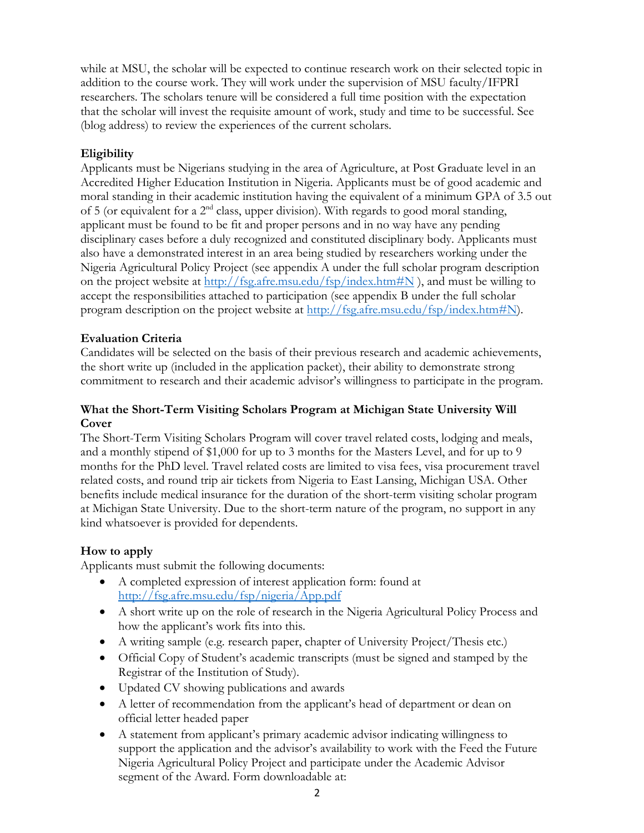while at MSU, the scholar will be expected to continue research work on their selected topic in addition to the course work. They will work under the supervision of MSU faculty/IFPRI researchers. The scholars tenure will be considered a full time position with the expectation that the scholar will invest the requisite amount of work, study and time to be successful. See (blog address) to review the experiences of the current scholars.

### **Eligibility**

Applicants must be Nigerians studying in the area of Agriculture, at Post Graduate level in an Accredited Higher Education Institution in Nigeria. Applicants must be of good academic and moral standing in their academic institution having the equivalent of a minimum GPA of 3.5 out of 5 (or equivalent for a 2nd class, upper division). With regards to good moral standing, applicant must be found to be fit and proper persons and in no way have any pending disciplinary cases before a duly recognized and constituted disciplinary body. Applicants must also have a demonstrated interest in an area being studied by researchers working under the Nigeria Agricultural Policy Project (see appendix A under the full scholar program description on the project website at  $\frac{http://fsg.afre.msu.edu/fsp/index.htm#N}{http://fsg.afre.msu.edu/fsp/index.htm#N)}$ , and must be willing to accept the responsibilities attached to participation (see appendix B under the full scholar program description on the project website at [http://fsg.afre.msu.edu/fsp/index.htm#N\)](http://fsg.afre.msu.edu/fsp/index.htm#N).

### **Evaluation Criteria**

Candidates will be selected on the basis of their previous research and academic achievements, the short write up (included in the application packet), their ability to demonstrate strong commitment to research and their academic advisor's willingness to participate in the program.

#### **What the Short-Term Visiting Scholars Program at Michigan State University Will Cover**

The Short-Term Visiting Scholars Program will cover travel related costs, lodging and meals, and a monthly stipend of \$1,000 for up to 3 months for the Masters Level, and for up to 9 months for the PhD level. Travel related costs are limited to visa fees, visa procurement travel related costs, and round trip air tickets from Nigeria to East Lansing, Michigan USA. Other benefits include medical insurance for the duration of the short-term visiting scholar program at Michigan State University. Due to the short-term nature of the program, no support in any kind whatsoever is provided for dependents.

### **How to apply**

Applicants must submit the following documents:

- A completed expression of interest application form: found at <http://fsg.afre.msu.edu/fsp/nigeria/App.pdf>
- A short write up on the role of research in the Nigeria Agricultural Policy Process and how the applicant's work fits into this.
- A writing sample (e.g. research paper, chapter of University Project/Thesis etc.)
- Official Copy of Student's academic transcripts (must be signed and stamped by the Registrar of the Institution of Study).
- Updated CV showing publications and awards
- A letter of recommendation from the applicant's head of department or dean on official letter headed paper
- A statement from applicant's primary academic advisor indicating willingness to support the application and the advisor's availability to work with the Feed the Future Nigeria Agricultural Policy Project and participate under the Academic Advisor segment of the Award. Form downloadable at: